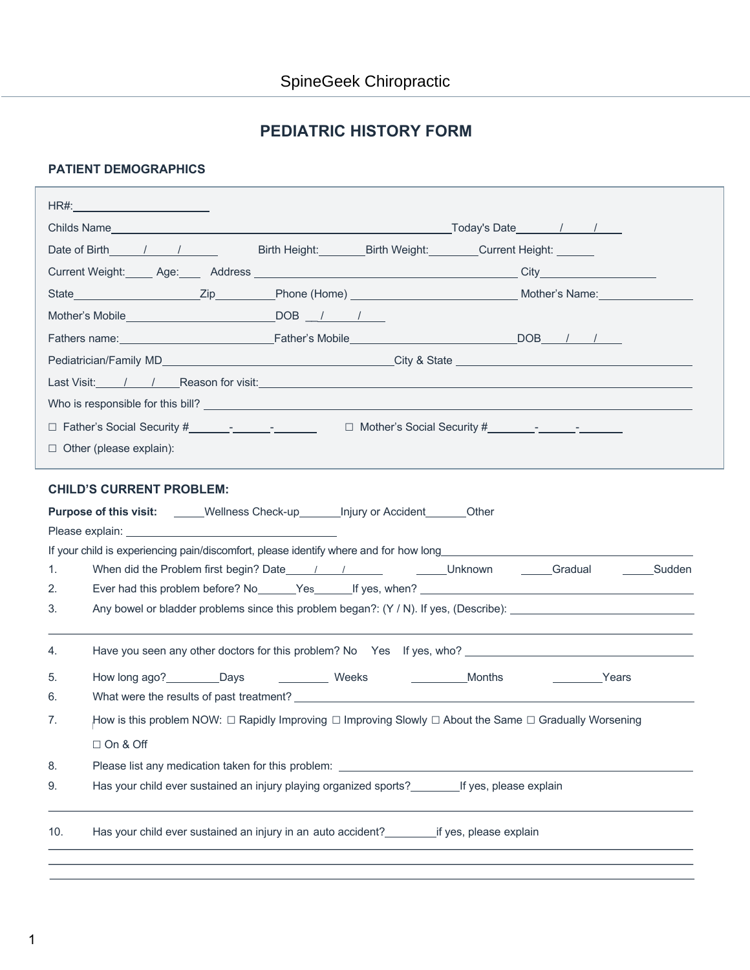## **PEDIATRIC HISTORY FORM**

### **PATIENT DEMOGRAPHICS**

| Date of Birth 1 1               | Birth Height: Birth Weight: Current Height: Current Election                                                                                                                                                                         |                        |
|---------------------------------|--------------------------------------------------------------------------------------------------------------------------------------------------------------------------------------------------------------------------------------|------------------------|
|                                 |                                                                                                                                                                                                                                      |                        |
|                                 |                                                                                                                                                                                                                                      |                        |
|                                 |                                                                                                                                                                                                                                      |                        |
|                                 | Fathers name: <u>Contract Contract Contract Contract Contract Contract Contract Contract Contract Contract Contract Contract Contract Contract Contract Contract Contract Contract Contract Contract Contract Contract Contract </u> |                        |
|                                 |                                                                                                                                                                                                                                      |                        |
|                                 |                                                                                                                                                                                                                                      |                        |
|                                 |                                                                                                                                                                                                                                      |                        |
|                                 |                                                                                                                                                                                                                                      |                        |
| $\Box$ Other (please explain):  |                                                                                                                                                                                                                                      |                        |
| <b>CHILD'S CURRENT PROBLEM:</b> | <b>Purpose of this visit:</b> _____Wellness Check-up_______ Injury or Accident_______Other                                                                                                                                           |                        |
|                                 | If your child is experiencing pain/discomfort, please identify where and for how long_________________________                                                                                                                       |                        |
| 1.<br>2.                        |                                                                                                                                                                                                                                      |                        |
| 3.                              |                                                                                                                                                                                                                                      |                        |
|                                 |                                                                                                                                                                                                                                      |                        |
| 4.                              |                                                                                                                                                                                                                                      |                        |
|                                 |                                                                                                                                                                                                                                      |                        |
| 5.                              | Months                                                                                                                                                                                                                               | <b>Example 2</b> Years |
| 6.                              |                                                                                                                                                                                                                                      |                        |
| 7.                              | How is this problem NOW: $\Box$ Rapidly Improving $\Box$ Improving Slowly $\Box$ About the Same $\Box$ Gradually Worsening                                                                                                           |                        |
| $\Box$ On & Off                 |                                                                                                                                                                                                                                      |                        |
| 8.                              | Please list any medication taken for this problem: _____________________________                                                                                                                                                     |                        |
| 9.                              | Has your child ever sustained an injury playing organized sports? _________ If yes, please explain                                                                                                                                   |                        |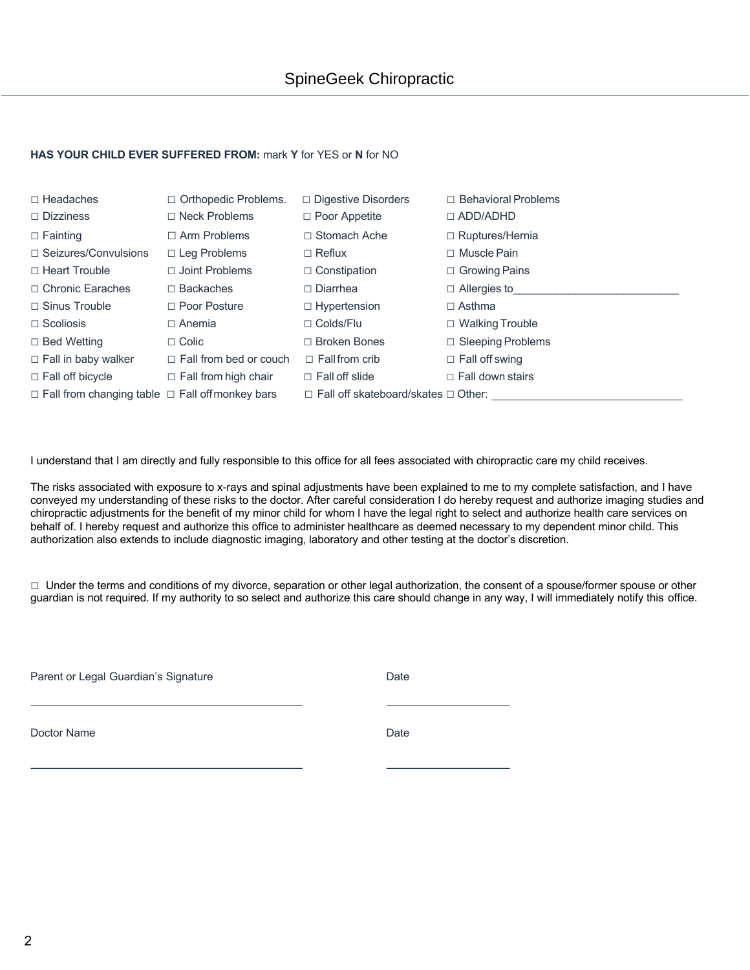#### **HAS YOUR CHILD EVER SUFFERED FROM:** mark **Y** for YES or **N** for NO

| $\Box$ Headaches<br>$\Box$ Dizziness                       | $\Box$ Orthopedic Problems.<br>$\Box$ Neck Problems | $\Box$ Digestive Disorders<br>$\Box$ Poor Appetite | $\Box$ Behavioral Problems<br>$\Box$ ADD/ADHD |
|------------------------------------------------------------|-----------------------------------------------------|----------------------------------------------------|-----------------------------------------------|
| $\Box$ Fainting                                            | $\Box$ Arm Problems                                 | $\Box$ Stomach Ache                                | $\Box$ Ruptures/Hernia                        |
| $\Box$ Seizures/Convulsions                                | $\Box$ Leg Problems                                 | $\Box$ Reflux                                      | $\Box$ Muscle Pain                            |
| $\Box$ Heart Trouble                                       | $\Box$ Joint Problems                               | $\Box$ Constipation                                | $\Box$ Growing Pains                          |
| □ Chronic Earaches                                         | $\Box$ Backaches                                    | $\Box$ Diarrhea                                    | $\Box$ Allergies to                           |
| $\Box$ Sinus Trouble                                       | $\Box$ Poor Posture                                 | $\Box$ Hypertension                                | $\Box$ Asthma                                 |
| $\Box$ Scoliosis                                           | $\Box$ Anemia                                       | $\Box$ Colds/Flu                                   | $\Box$ Walking Trouble                        |
| $\Box$ Bed Wetting                                         | $\Box$ Colic                                        | $\Box$ Broken Bones                                | $\Box$ Sleeping Problems                      |
| $\Box$ Fall in baby walker                                 | $\Box$ Fall from bed or couch                       | $\Box$ Fall from crib                              | $\Box$ Fall off swing                         |
| $\Box$ Fall off bicycle                                    | $\Box$ Fall from high chair                         | $\Box$ Fall off slide                              | $\Box$ Fall down stairs                       |
| $\Box$ Fall from changing table $\Box$ Fall offmonkey bars |                                                     | $\Box$ Fall off skateboard/skates $\Box$ Other:    |                                               |

I understand that I am directly and fully responsible to this office for all fees associated with chiropractic care my child receives.

The risks associated with exposure to x-rays and spinal adjustments have been explained to me to my complete satisfaction, and I have conveyed my understanding of these risks to the doctor. After careful consideration I do hereby request and authorize imaging studies and chiropractic adjustments for the benefit of my minor child for whom I have the legal right to select and authorize health care services on behalf of. I hereby request and authorize this office to administer healthcare as deemed necessary to my dependent minor child. This authorization also extends to include diagnostic imaging, laboratory and other testing at the doctor's discretion.

□ Under the terms and conditions of my divorce, separation or other legal authorization, the consent of a spouse/former spouse or other guardian is not required. If my authority to so select and authorize this care should change in any way, I will immediately notify this office.

Parent or Legal Guardian's Signature **Date** Date

Doctor Name Date **Date**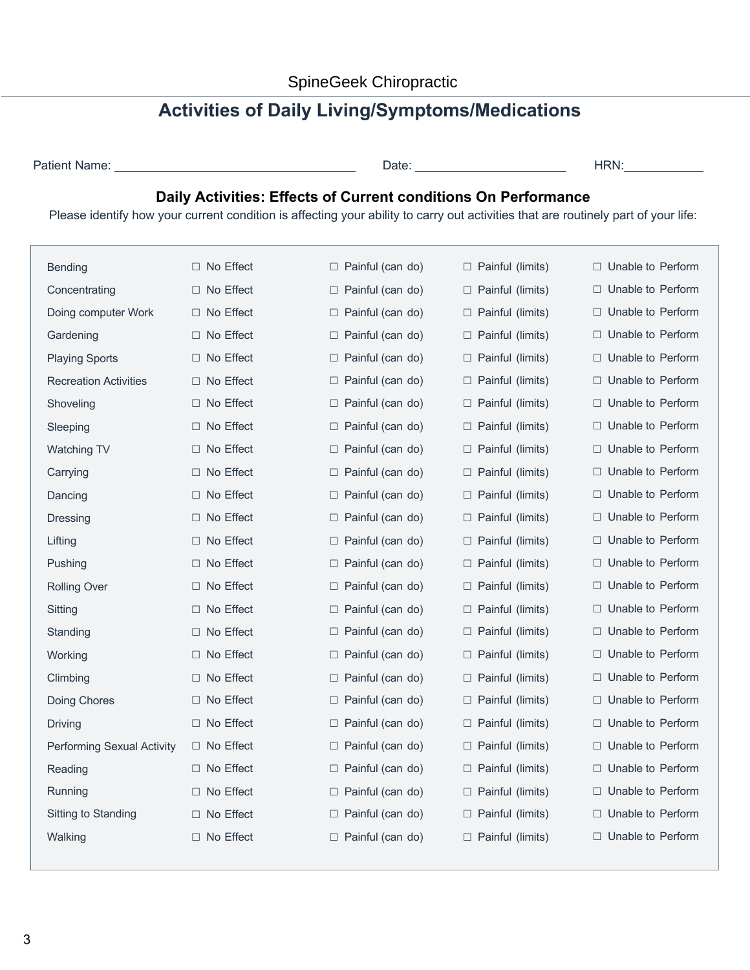# **Activities of Daily Living/Symptoms/Medications**

| Patient Name: |  |
|---------------|--|
|               |  |

Patient Name: Date: HRN:

## **Daily Activities: Effects of Current conditions On Performance**

Please identify how your current condition is affecting your ability to carry out activities that are routinely part of your life:

| <b>Bending</b>                    | □ No Effect         | $\Box$ Painful (can do)    | $\Box$ Painful (limits)    | $\Box$ Unable to Perform |
|-----------------------------------|---------------------|----------------------------|----------------------------|--------------------------|
| Concentrating                     | $\Box$ No Effect    | $\Box$ Painful (can do)    | $\Box$ Painful (limits)    | $\Box$ Unable to Perform |
| Doing computer Work               | □ No Effect         | $\Box$ Painful (can do)    | $\Box$ Painful (limits)    | $\Box$ Unable to Perform |
| Gardening                         | $\Box$ No Effect    | Painful (can do)<br>⊔      | □ Painful (limits)         | □ Unable to Perform      |
| <b>Playing Sports</b>             | No Effect<br>$\Box$ | $\Box$ Painful (can do)    | $\Box$ Painful (limits)    | $\Box$ Unable to Perform |
| <b>Recreation Activities</b>      | □ No Effect         | □ Painful (can do)         | $\Box$ Painful (limits)    | $\Box$ Unable to Perform |
| Shoveling                         | $\Box$ No Effect    | $\Box$ Painful (can do)    | $\Box$ Painful (limits)    | $\Box$ Unable to Perform |
| Sleeping                          | $\Box$ No Effect    | $\Box$ Painful (can do)    | □ Painful (limits)         | $\Box$ Unable to Perform |
| <b>Watching TV</b>                | □ No Effect         | $\Box$ Painful (can do)    | $\Box$ Painful (limits)    | □ Unable to Perform      |
| Carrying                          | □ No Effect         | $\Box$ Painful (can do)    | $\Box$ Painful (limits)    | □ Unable to Perform      |
| Dancing                           | $\Box$ No Effect    | $\Box$ Painful (can do)    | □ Painful (limits)         | $\Box$ Unable to Perform |
| <b>Dressing</b>                   | $\Box$ No Effect    | $\Box$ Painful (can do)    | $\Box$ Painful (limits)    | $\Box$ Unable to Perform |
| Lifting                           | □ No Effect         | $\Box$ Painful (can do)    | □ Painful (limits)         | $\Box$ Unable to Perform |
| Pushing                           | $\Box$ No Effect    | $\Box$ Painful (can do)    | □ Painful (limits)         | □ Unable to Perform      |
| <b>Rolling Over</b>               | □ No Effect         | □ Painful (can do)         | $\Box$ Painful (limits)    | □ Unable to Perform      |
| Sitting                           | □ No Effect         | $\Box$ Painful (can do)    | □ Painful (limits)         | □ Unable to Perform      |
| Standing                          | No Effect<br>$\Box$ | Painful (can do)<br>$\Box$ | $\Box$ Painful (limits)    | $\Box$ Unable to Perform |
| Working                           | $\Box$ No Effect    | Painful (can do)<br>$\Box$ | □ Painful (limits)         | □ Unable to Perform      |
| Climbing                          | $\Box$ No Effect    | $\Box$ Painful (can do)    | $\Box$ Painful (limits)    | $\Box$ Unable to Perform |
| Doing Chores                      | □ No Effect         | $\Box$ Painful (can do)    | $\Box$ Painful (limits)    | $\Box$ Unable to Perform |
| <b>Driving</b>                    | $\Box$ No Effect    | $\Box$ Painful (can do)    | □ Painful (limits)         | $\Box$ Unable to Perform |
| <b>Performing Sexual Activity</b> | $\Box$ No Effect    | $\Box$ Painful (can do)    | $\Box$ Painful (limits)    | $\Box$ Unable to Perform |
| Reading                           | No Effect<br>П.     | Painful (can do)<br>$\Box$ | Painful (limits)<br>$\Box$ | $\Box$ Unable to Perform |
| Running                           | $\Box$ No Effect    | Painful (can do)<br>$\Box$ | Painful (limits)<br>$\Box$ | $\Box$ Unable to Perform |
| Sitting to Standing               | $\Box$ No Effect    | $\Box$ Painful (can do)    | $\Box$ Painful (limits)    | $\Box$ Unable to Perform |
| Walking                           | □ No Effect         | $\Box$ Painful (can do)    | $\Box$ Painful (limits)    | $\Box$ Unable to Perform |
|                                   |                     |                            |                            |                          |